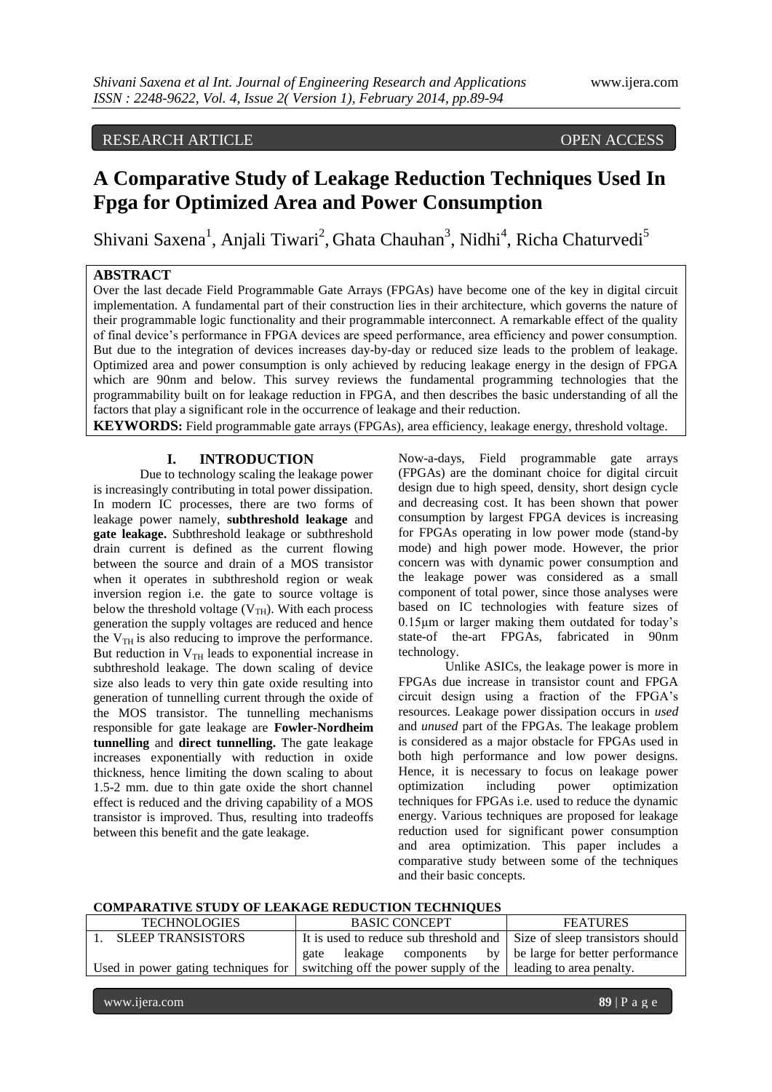## RESEARCH ARTICLE OPEN ACCESS

# **A Comparative Study of Leakage Reduction Techniques Used In Fpga for Optimized Area and Power Consumption**

Shivani Saxena<sup>1</sup>, Anjali Tiwari<sup>2</sup>, Ghata Chauhan<sup>3</sup>, Nidhi<sup>4</sup>, Richa Chaturvedi<sup>5</sup>

### **ABSTRACT**

Over the last decade Field Programmable Gate Arrays (FPGAs) have become one of the key in digital circuit implementation. A fundamental part of their construction lies in their architecture, which governs the nature of their programmable logic functionality and their programmable interconnect. A remarkable effect of the quality of final device"s performance in FPGA devices are speed performance, area efficiency and power consumption. But due to the integration of devices increases day-by-day or reduced size leads to the problem of leakage. Optimized area and power consumption is only achieved by reducing leakage energy in the design of FPGA which are 90nm and below. This survey reviews the fundamental programming technologies that the programmability built on for leakage reduction in FPGA, and then describes the basic understanding of all the factors that play a significant role in the occurrence of leakage and their reduction.

**KEYWORDS:** Field programmable gate arrays (FPGAs), area efficiency, leakage energy, threshold voltage.

#### **I. INTRODUCTION**

Due to technology scaling the leakage power is increasingly contributing in total power dissipation. In modern IC processes, there are two forms of leakage power namely, **subthreshold leakage** and **gate leakage.** Subthreshold leakage or subthreshold drain current is defined as the current flowing between the source and drain of a MOS transistor when it operates in subthreshold region or weak inversion region i.e. the gate to source voltage is below the threshold voltage  $(V_{TH})$ . With each process generation the supply voltages are reduced and hence the  $V_{TH}$  is also reducing to improve the performance. But reduction in  $V<sub>TH</sub>$  leads to exponential increase in subthreshold leakage. The down scaling of device size also leads to very thin gate oxide resulting into generation of tunnelling current through the oxide of the MOS transistor. The tunnelling mechanisms responsible for gate leakage are **Fowler-Nordheim tunnelling** and **direct tunnelling.** The gate leakage increases exponentially with reduction in oxide thickness, hence limiting the down scaling to about 1.5-2 mm. due to thin gate oxide the short channel effect is reduced and the driving capability of a MOS transistor is improved. Thus, resulting into tradeoffs between this benefit and the gate leakage.

Now-a-days, Field programmable gate arrays (FPGAs) are the dominant choice for digital circuit design due to high speed, density, short design cycle and decreasing cost. It has been shown that power consumption by largest FPGA devices is increasing for FPGAs operating in low power mode (stand-by mode) and high power mode. However, the prior concern was with dynamic power consumption and the leakage power was considered as a small component of total power, since those analyses were based on IC technologies with feature sizes of  $0.15\mu$ m or larger making them outdated for today's state-of the-art FPGAs, fabricated in 90nm technology.

Unlike ASICs, the leakage power is more in FPGAs due increase in transistor count and FPGA circuit design using a fraction of the FPGA"s resources. Leakage power dissipation occurs in *used* and *unused* part of the FPGAs. The leakage problem is considered as a major obstacle for FPGAs used in both high performance and low power designs. Hence, it is necessary to focus on leakage power optimization including power optimization techniques for FPGAs i.e. used to reduce the dynamic energy. Various techniques are proposed for leakage reduction used for significant power consumption and area optimization. This paper includes a comparative study between some of the techniques and their basic concepts.

#### **COMPARATIVE STUDY OF LEAKAGE REDUCTION TECHNIQUES**

| <b>TECHNOLOGIES</b>      | <b>BASIC CONCEPT</b>                                                                                               | <b>FEATURES</b> |
|--------------------------|--------------------------------------------------------------------------------------------------------------------|-----------------|
| <b>SLEEP TRANSISTORS</b> | It is used to reduce sub threshold and Size of sleep transistors should                                            |                 |
|                          | gate leakage components by be large for better performance                                                         |                 |
|                          | Used in power gating techniques for $\vert$ switching off the power supply of the $\vert$ leading to area penalty. |                 |
|                          |                                                                                                                    |                 |

www.ijera.com **89** | P a g e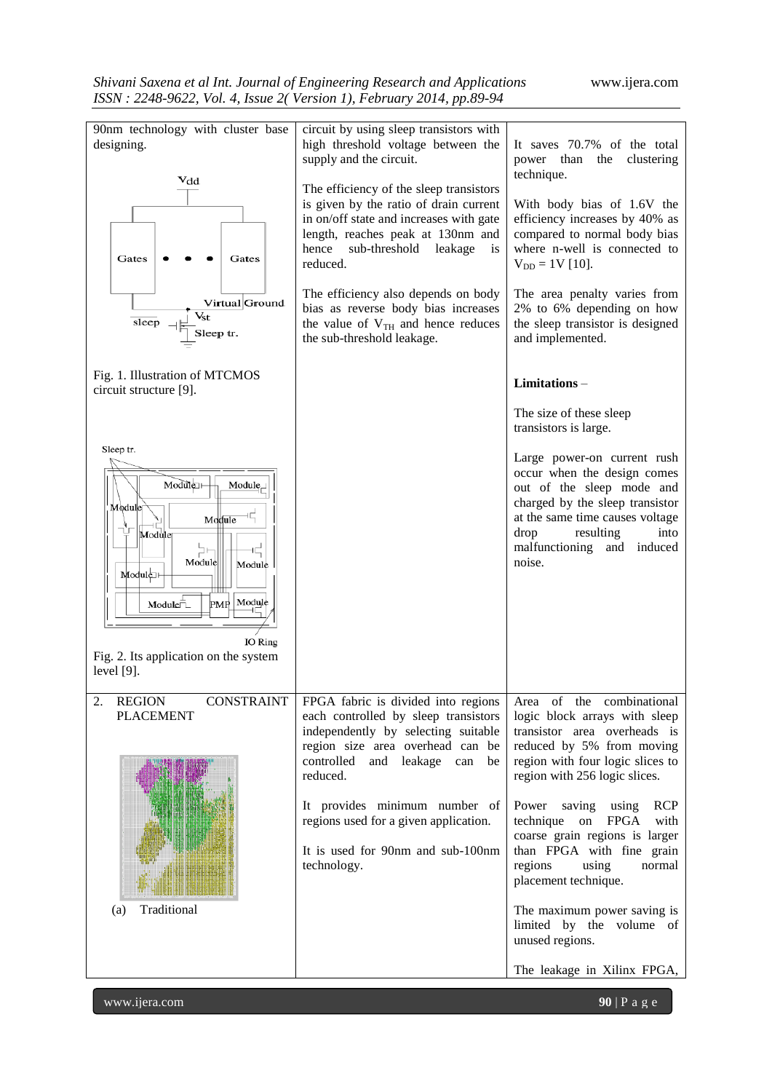

www.ijera.com **90** | P a g e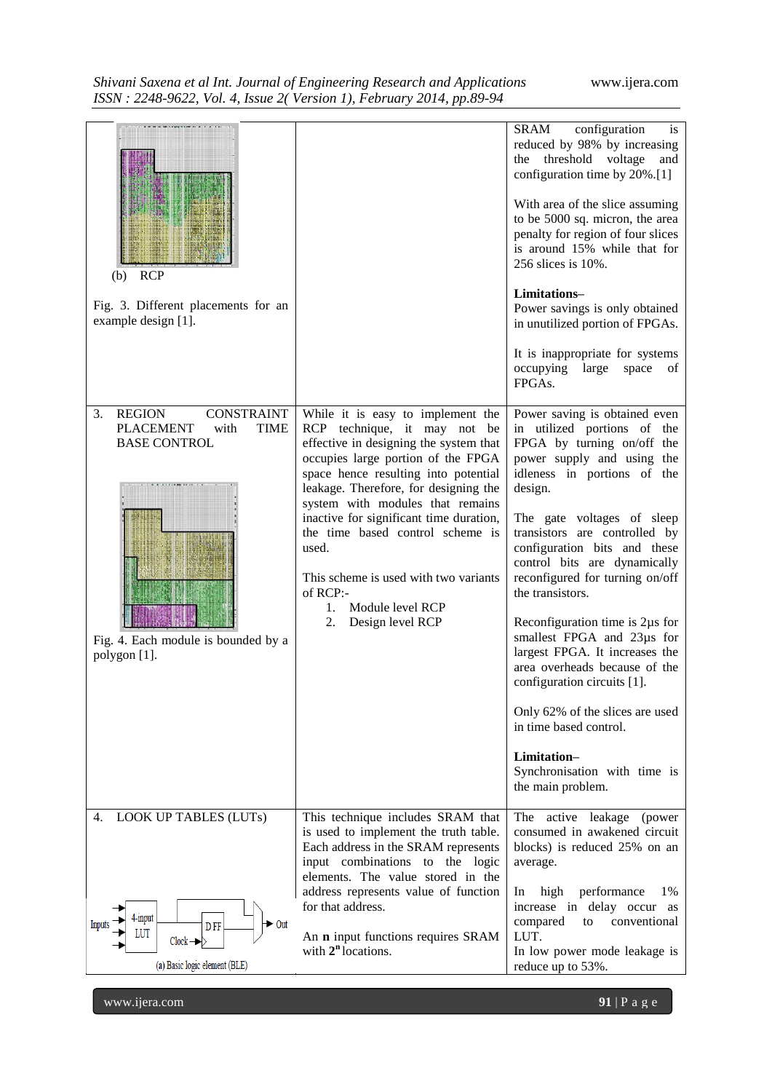| Shivani Saxena et al Int. Journal of Engineering Research and Applications |
|----------------------------------------------------------------------------|
| ISSN: 2248-9622, Vol. 4, Issue 2(Version 1), February 2014, pp.89-94       |

| <b>RCP</b><br>(b)<br>Fig. 3. Different placements for an<br>example design [1].<br><b>CONSTRAINT</b><br><b>REGION</b><br>3.<br><b>PLACEMENT</b><br><b>TIME</b><br>with<br><b>BASE CONTROL</b><br>Fig. 4. Each module is bounded by a<br>polygon [1]. | While it is easy to implement the<br>RCP technique, it may not be<br>effective in designing the system that<br>occupies large portion of the FPGA<br>space hence resulting into potential<br>leakage. Therefore, for designing the<br>system with modules that remains<br>inactive for significant time duration,<br>the time based control scheme is<br>used.<br>This scheme is used with two variants<br>of RCP:-<br>Module level RCP<br>$1_{\cdot}$<br>2.<br>Design level RCP | <b>SRAM</b><br>configuration<br><i>is</i><br>reduced by 98% by increasing<br>the threshold voltage<br>and<br>configuration time by 20%.[1]<br>With area of the slice assuming<br>to be 5000 sq. micron, the area<br>penalty for region of four slices<br>is around 15% while that for<br>256 slices is 10%.<br>Limitations-<br>Power savings is only obtained<br>in unutilized portion of FPGAs.<br>It is inappropriate for systems<br>occupying large<br>space<br>of<br>FPGAs.<br>Power saving is obtained even<br>in utilized portions of the<br>FPGA by turning on/off the<br>power supply and using the<br>idleness in portions of the<br>design.<br>The gate voltages of sleep<br>transistors are controlled by<br>configuration bits and these<br>control bits are dynamically<br>reconfigured for turning on/off<br>the transistors.<br>Reconfiguration time is 2µs for<br>smallest FPGA and 23us for<br>largest FPGA. It increases the<br>area overheads because of the<br>configuration circuits [1].<br>Only 62% of the slices are used<br>in time based control.<br>Limitation-<br>Synchronisation with time is<br>the main problem. |
|------------------------------------------------------------------------------------------------------------------------------------------------------------------------------------------------------------------------------------------------------|----------------------------------------------------------------------------------------------------------------------------------------------------------------------------------------------------------------------------------------------------------------------------------------------------------------------------------------------------------------------------------------------------------------------------------------------------------------------------------|-------------------------------------------------------------------------------------------------------------------------------------------------------------------------------------------------------------------------------------------------------------------------------------------------------------------------------------------------------------------------------------------------------------------------------------------------------------------------------------------------------------------------------------------------------------------------------------------------------------------------------------------------------------------------------------------------------------------------------------------------------------------------------------------------------------------------------------------------------------------------------------------------------------------------------------------------------------------------------------------------------------------------------------------------------------------------------------------------------------------------------------------------|
| <b>LOOK UP TABLES (LUTs)</b><br>4.<br>4-input<br>D <sub>FF</sub><br>Out<br>LUT<br>$Clock \rightarrow\!\!\!\!\!\rightarrow$<br>(a) Basic logic element (BLE)                                                                                          | This technique includes SRAM that<br>is used to implement the truth table.<br>Each address in the SRAM represents<br>input combinations to the logic<br>elements. The value stored in the<br>address represents value of function<br>for that address.<br>An <b>n</b> input functions requires SRAM<br>with $2n$ locations.                                                                                                                                                      | The active leakage (power<br>consumed in awakened circuit<br>blocks) is reduced 25% on an<br>average.<br>performance<br>high<br>1%<br>In<br>increase in delay occur<br>as<br>compared<br>conventional<br>to<br>LUT.<br>In low power mode leakage is<br>reduce up to 53%.                                                                                                                                                                                                                                                                                                                                                                                                                                                                                                                                                                                                                                                                                                                                                                                                                                                                        |

www.ijera.com **91** | P a g e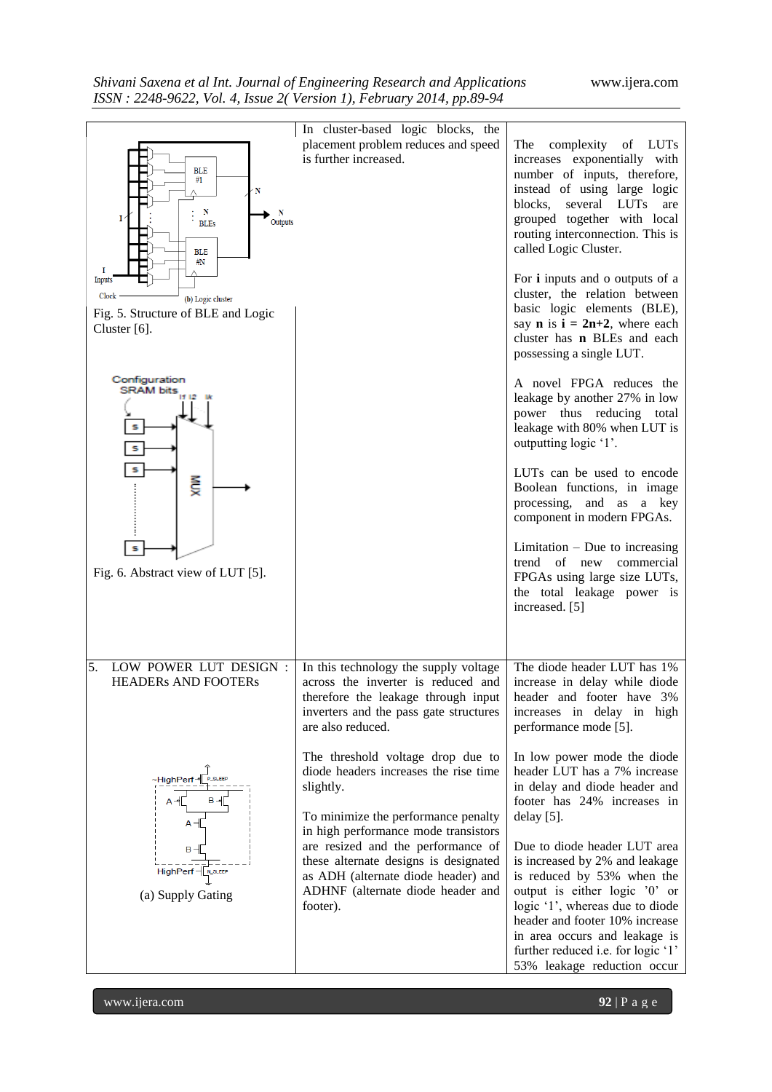| <b>BLE</b><br>#1<br>$\mathbf N$<br>N<br>N<br>$\mathbf{I}^{\prime}$<br>Outputs<br><b>BLEs</b><br><b>BLE</b><br>$\#N$<br>I<br><b>Inputs</b><br>Clock<br>(b) Logic cluster | In cluster-based logic blocks, the<br>placement problem reduces and speed<br>is further increased.                                                                                                          | The<br>complexity<br>of LUTs<br>increases exponentially with<br>number of inputs, therefore,<br>instead of using large logic<br>blocks,<br>several LUTs<br>are<br>grouped together with local<br>routing interconnection. This is<br>called Logic Cluster.<br>For <i>i</i> inputs and o outputs of a<br>cluster, the relation between |
|-------------------------------------------------------------------------------------------------------------------------------------------------------------------------|-------------------------------------------------------------------------------------------------------------------------------------------------------------------------------------------------------------|---------------------------------------------------------------------------------------------------------------------------------------------------------------------------------------------------------------------------------------------------------------------------------------------------------------------------------------|
| Fig. 5. Structure of BLE and Logic<br>Cluster $[6]$ .                                                                                                                   |                                                                                                                                                                                                             | basic logic elements (BLE),<br>say <b>n</b> is $i = 2n+2$ , where each<br>cluster has <b>n</b> BLEs and each<br>possessing a single LUT.                                                                                                                                                                                              |
| Configuration<br><b>SRAM bits</b><br>s<br>s                                                                                                                             |                                                                                                                                                                                                             | A novel FPGA reduces the<br>leakage by another 27% in low<br>power thus reducing total<br>leakage with 80% when LUT is<br>outputting logic '1'.                                                                                                                                                                                       |
| s<br>NGX                                                                                                                                                                |                                                                                                                                                                                                             | LUTs can be used to encode<br>Boolean functions, in image<br>processing, and as a key<br>component in modern FPGAs.                                                                                                                                                                                                                   |
| S<br>Fig. 6. Abstract view of LUT [5].                                                                                                                                  |                                                                                                                                                                                                             | Limitation $-$ Due to increasing<br>trend of new<br>commercial<br>FPGAs using large size LUTs,<br>the total leakage power is<br>increased. [5]                                                                                                                                                                                        |
| 5.<br>LOW POWER LUT DESIGN :<br><b>HEADERS AND FOOTERS</b>                                                                                                              | In this technology the supply voltage<br>across the inverter is reduced and<br>therefore the leakage through input<br>inverters and the pass gate structures<br>are also reduced.                           | The diode header LUT has 1%<br>increase in delay while diode<br>header and footer have 3%<br>increases in delay in high<br>performance mode [5].                                                                                                                                                                                      |
| ~HighPerf-<br><b>P_SLEEP</b><br>$A -$<br>$B - 4$<br>A⊣                                                                                                                  | The threshold voltage drop due to<br>diode headers increases the rise time<br>slightly.<br>To minimize the performance penalty                                                                              | In low power mode the diode<br>header LUT has a 7% increase<br>in delay and diode header and<br>footer has 24% increases in<br>$delay [5]$ .                                                                                                                                                                                          |
| $B -$<br>HighPerf -[N_SLEEP<br>(a) Supply Gating                                                                                                                        | in high performance mode transistors<br>are resized and the performance of<br>these alternate designs is designated<br>as ADH (alternate diode header) and<br>ADHNF (alternate diode header and<br>footer). | Due to diode header LUT area<br>is increased by 2% and leakage<br>is reduced by 53% when the<br>output is either logic '0' or<br>logic '1', whereas due to diode<br>header and footer 10% increase<br>in area occurs and leakage is<br>further reduced i.e. for logic '1'<br>53% leakage reduction occur                              |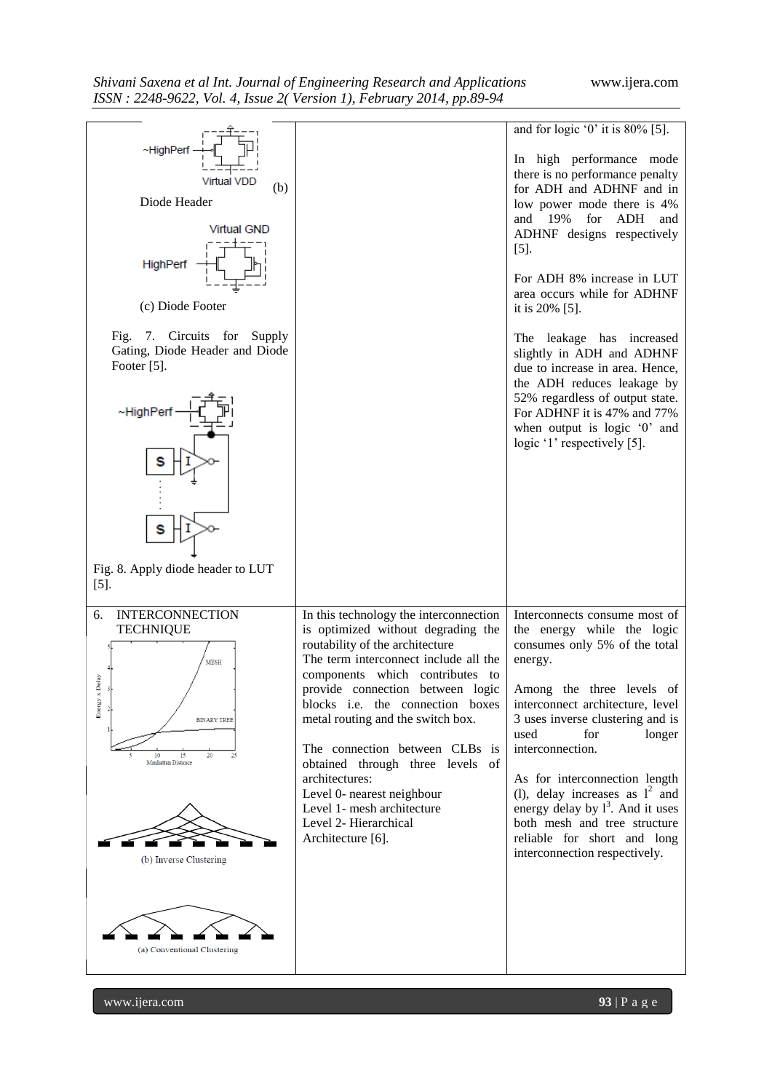

www.ijera.com **93** | P a g e